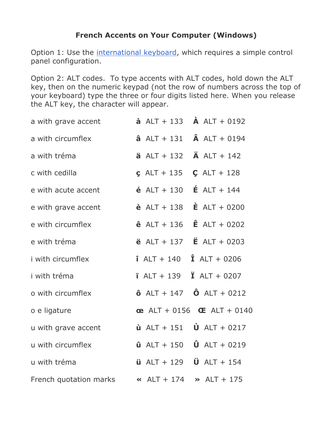## **French Accents on Your Computer (Windows)**

Option 1: Use the international keyboard, which requires a simple control panel configuration.

Option 2: ALT codes. To type accents with ALT codes, hold down the ALT key, then on the numeric keypad (not the row of numbers across the top of your keyboard) type the three or four digits listed here. When you release the ALT key, the character will appear.

| a with grave accent    | <b>à</b> ALT + 133 $\dot{A}$ ALT + 0192                    |
|------------------------|------------------------------------------------------------|
| a with circumflex      | <b>â</b> ALT + 131 $\hat{A}$ ALT + 0194                    |
| a with tréma           | <b>ä</b> $ALT + 132$ <b>Ä</b> $ALT + 142$                  |
| c with cedilla         | $C$ ALT + 135<br>$CL AtT + 128$                            |
| e with acute accent    | $\acute{E}$ ALT + 144<br>$6$ ALT + 130                     |
| e with grave accent    | <b>è</b> $ALT + 138$ <b>È</b> $ALT + 0200$                 |
| e with circumflex      | <b>ê</b> ALT + 136 <b>E</b> ALT + 0202                     |
| e with tréma           | <b>ë</b> ALT + 137 <b>E</b> ALT + 0203                     |
| i with circumflex      | $\hat{\mathbf{i}}$ ALT + 140 $\hat{\mathbf{i}}$ ALT + 0206 |
| <i>i</i> with tréma    | <b>i</b> $ALT + 139$ <b>i</b> $ALT + 0207$                 |
| o with circumflex      | <b>ô</b> ALT + 147 <b>Ô</b> ALT + 0212                     |
| o e ligature           | <b>ce</b> ALT + 0156 <b>Œ</b> ALT + 0140                   |
| u with grave accent    | $\dot{U}$ ALT + 0217<br>$\hat{u}$ ALT + 151                |
| u with circumflex      | $\hat{u}$ ALT + 150 $\hat{U}$ ALT + 0219                   |
| u with tréma           | <b>ü</b> $ALT + 129$ <b>Ü</b> $ALT + 154$                  |
| French quotation marks | $\ll$ ALT + 174 $\gg$ ALT + 175                            |